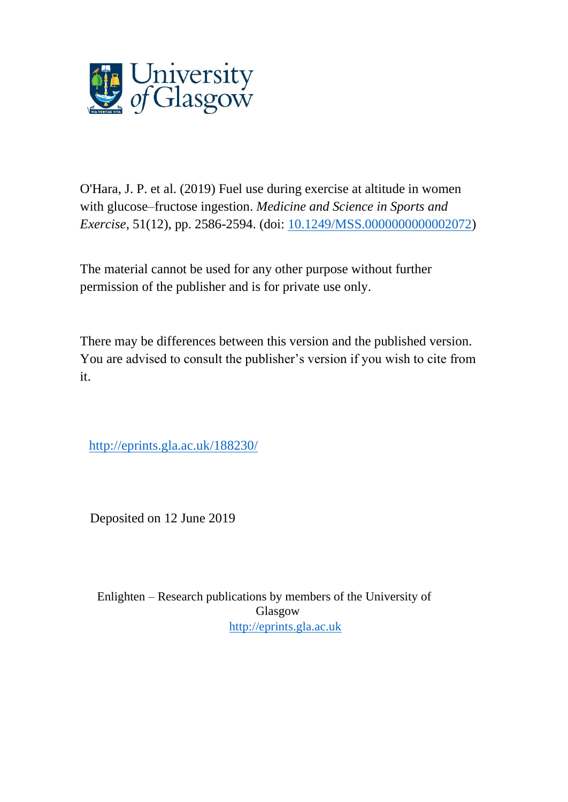

O'Hara, J. P. et al. (2019) Fuel use during exercise at altitude in women with glucose–fructose ingestion. *Medicine and Science in Sports and Exercise*, 51(12), pp. 2586-2594. (doi: [10.1249/MSS.0000000000002072\)](http://dx.doi.org/10.1249/MSS.0000000000002072)

The material cannot be used for any other purpose without further permission of the publisher and is for private use only.

There may be differences between this version and the published version. You are advised to consult the publisher's version if you wish to cite from it.

<http://eprints.gla.ac.uk/188230/>

Deposited on 12 June 2019

Enlighten – Research publications by members of the University of Glasgow [http://eprints.gla.ac.uk](http://eprints.gla.ac.uk/)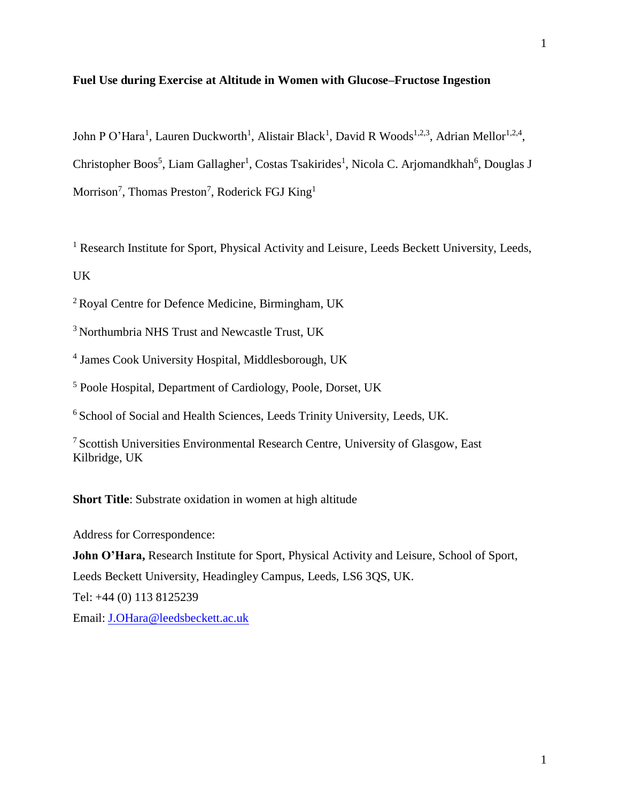# **Fuel Use during Exercise at Altitude in Women with Glucose–Fructose Ingestion**

John P O'Hara<sup>1</sup>, Lauren Duckworth<sup>1</sup>, Alistair Black<sup>1</sup>, David R Woods<sup>1,2,3</sup>, Adrian Mellor<sup>1,2,4</sup>, Christopher Boos<sup>5</sup>, Liam Gallagher<sup>1</sup>, Costas Tsakirides<sup>1</sup>, Nicola C. Arjomandkhah<sup>6</sup>, Douglas J Morrison<sup>7</sup>, Thomas Preston<sup>7</sup>, Roderick FGJ King<sup>1</sup>

<sup>1</sup> Research Institute for Sport, Physical Activity and Leisure, Leeds Beckett University, Leeds, UK

<sup>2</sup> Royal Centre for Defence Medicine, Birmingham, UK

<sup>3</sup> Northumbria NHS Trust and Newcastle Trust, UK

4 James Cook University Hospital, Middlesborough, UK

<sup>5</sup> Poole Hospital, Department of Cardiology, Poole, Dorset, UK

<sup>6</sup> School of Social and Health Sciences, Leeds Trinity University, Leeds, UK.

<sup>7</sup>Scottish Universities Environmental Research Centre, University of Glasgow, East Kilbridge, UK

**Short Title**: Substrate oxidation in women at high altitude

Address for Correspondence:

**John O'Hara,** Research Institute for Sport, Physical Activity and Leisure, School of Sport, Leeds Beckett University, Headingley Campus, Leeds, LS6 3QS, UK. Tel: +44 (0) 113 8125239 Email: [J.OHara@leedsbeckett.ac.uk](mailto:J.OHara@leedsbeckett.ac.uk)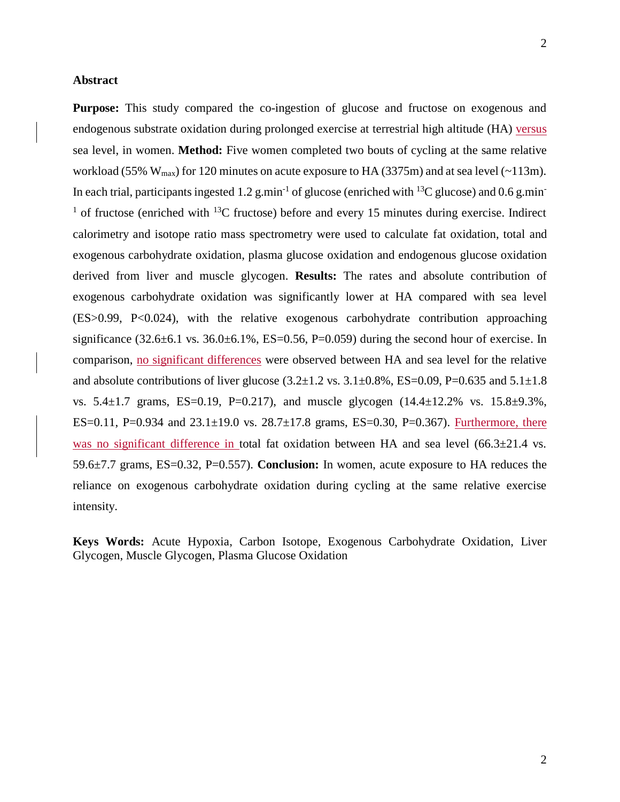### **Abstract**

**Purpose:** This study compared the co-ingestion of glucose and fructose on exogenous and endogenous substrate oxidation during prolonged exercise at terrestrial high altitude (HA) versus sea level, in women. **Method:** Five women completed two bouts of cycling at the same relative workload (55%  $W_{max}$ ) for 120 minutes on acute exposure to HA (3375m) and at sea level (~113m). In each trial, participants ingested 1.2 g.min<sup>-1</sup> of glucose (enriched with <sup>13</sup>C glucose) and 0.6 g.min<sup>-1</sup> <sup>1</sup> of fructose (enriched with  $^{13}$ C fructose) before and every 15 minutes during exercise. Indirect calorimetry and isotope ratio mass spectrometry were used to calculate fat oxidation, total and exogenous carbohydrate oxidation, plasma glucose oxidation and endogenous glucose oxidation derived from liver and muscle glycogen. **Results:** The rates and absolute contribution of exogenous carbohydrate oxidation was significantly lower at HA compared with sea level (ES>0.99, P<0.024), with the relative exogenous carbohydrate contribution approaching significance  $(32.6\pm6.1 \text{ vs. } 36.0\pm6.1\%$ , ES=0.56, P=0.059) during the second hour of exercise. In comparison, no significant differences were observed between HA and sea level for the relative and absolute contributions of liver glucose  $(3.2 \pm 1.2 \text{ vs. } 3.1 \pm 0.8\%$ , ES=0.09, P=0.635 and 5.1 $\pm 1.8$ vs.  $5.4 \pm 1.7$  grams, ES=0.19, P=0.217), and muscle glycogen  $(14.4 \pm 12.2\%$  vs.  $15.8 \pm 9.3\%$ , ES=0.11, P=0.934 and  $23.1 \pm 19.0$  vs.  $28.7 \pm 17.8$  grams, ES=0.30, P=0.367). Furthermore, there was no significant difference in total fat oxidation between HA and sea level  $(66.3 \pm 21.4 \text{ vs.})$ 59.6±7.7 grams, ES=0.32, P=0.557). **Conclusion:** In women, acute exposure to HA reduces the reliance on exogenous carbohydrate oxidation during cycling at the same relative exercise intensity.

**Keys Words:** Acute Hypoxia, Carbon Isotope, Exogenous Carbohydrate Oxidation, Liver Glycogen, Muscle Glycogen, Plasma Glucose Oxidation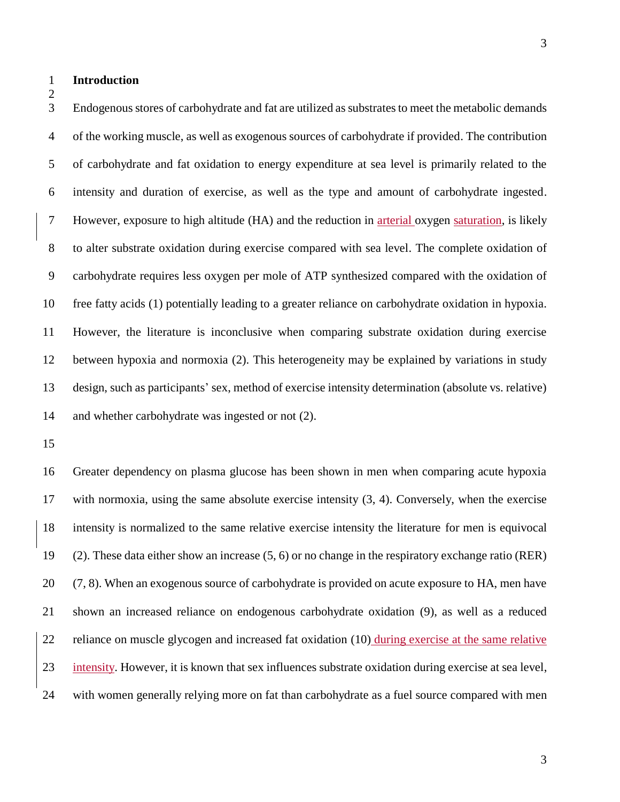**Introduction**

 Endogenous stores of carbohydrate and fat are utilized as substrates to meet the metabolic demands of the working muscle, as well as exogenous sources of carbohydrate if provided. The contribution

 of carbohydrate and fat oxidation to energy expenditure at sea level is primarily related to the intensity and duration of exercise, as well as the type and amount of carbohydrate ingested. However, exposure to high altitude (HA) and the reduction in arterial oxygen saturation, is likely to alter substrate oxidation during exercise compared with sea level. The complete oxidation of carbohydrate requires less oxygen per mole of ATP synthesized compared with the oxidation of free fatty acids [\(1\)](#page-19-0) potentially leading to a greater reliance on carbohydrate oxidation in hypoxia. However, the literature is inconclusive when comparing substrate oxidation during exercise between hypoxia and normoxia [\(2\)](#page-19-1). This heterogeneity may be explained by variations in study design, such as participants' sex, method of exercise intensity determination (absolute vs. relative) and whether carbohydrate was ingested or not [\(2\)](#page-19-1).

 Greater dependency on plasma glucose has been shown in men when comparing acute hypoxia with normoxia, using the same absolute exercise intensity [\(3,](#page-20-0) [4\)](#page-20-1). Conversely, when the exercise intensity is normalized to the same relative exercise intensity the literature for men is equivocal [\(2\)](#page-19-1). These data either show an increase [\(5,](#page-20-2) [6\)](#page-20-3) or no change in the respiratory exchange ratio (RER) [\(7,](#page-20-4) [8\)](#page-20-5). When an exogenous source of carbohydrate is provided on acute exposure to HA, men have shown an increased reliance on endogenous carbohydrate oxidation [\(9\)](#page-20-6), as well as a reduced reliance on muscle glycogen and increased fat oxidation [\(10\)](#page-20-7) during exercise at the same relative 23 intensity. However, it is known that sex influences substrate oxidation during exercise at sea level, with women generally relying more on fat than carbohydrate as a fuel source compared with men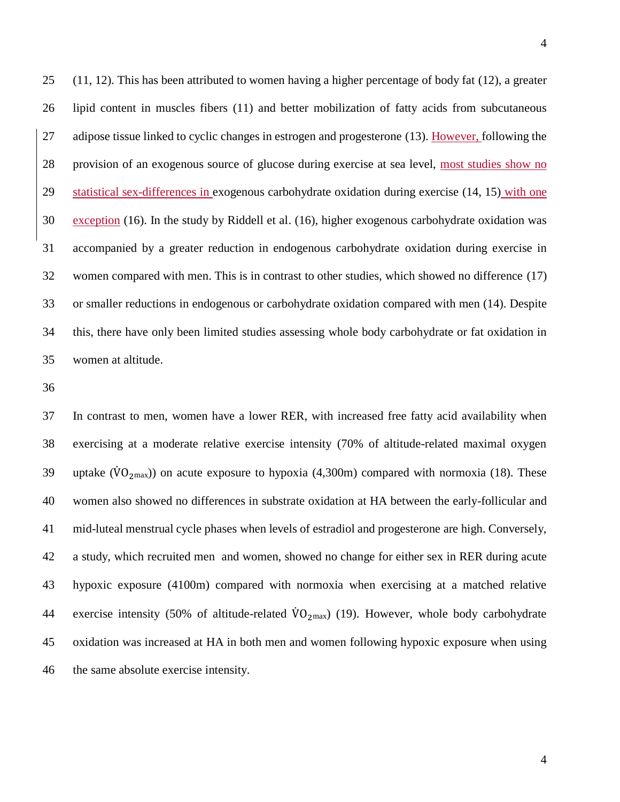[\(11,](#page-20-8) [12\)](#page-21-0). This has been attributed to women having a higher percentage of body fat [\(12\)](#page-21-0), a greater lipid content in muscles fibers [\(11\)](#page-20-8) and better mobilization of fatty acids from subcutaneous adipose tissue linked to cyclic changes in estrogen and progesterone [\(13\)](#page-21-1). However, following the provision of an exogenous source of glucose during exercise at sea level, most studies show no statistical sex-differences in exogenous carbohydrate oxidation during exercise [\(14,](#page-21-2) [15\)](#page-21-3) with one exception [\(16\)](#page-21-4). In the study by Riddell et al. [\(16\)](#page-21-4), higher exogenous carbohydrate oxidation was accompanied by a greater reduction in endogenous carbohydrate oxidation during exercise in women compared with men. This is in contrast to other studies, which showed no difference [\(17\)](#page-21-5) or smaller reductions in endogenous or carbohydrate oxidation compared with men [\(14\)](#page-21-2). Despite this, there have only been limited studies assessing whole body carbohydrate or fat oxidation in

women at altitude.

 In contrast to men, women have a lower RER, with increased free fatty acid availability when exercising at a moderate relative exercise intensity (70% of altitude-related maximal oxygen 39 uptake  $(\dot{V}O_{2max})$  on acute exposure to hypoxia (4,300m) compared with normoxia [\(18\)](#page-21-6). These women also showed no differences in substrate oxidation at HA between the early-follicular and mid-luteal menstrual cycle phases when levels of estradiol and progesterone are high. Conversely, a study, which recruited men and women, showed no change for either sex in RER during acute hypoxic exposure (4100m) compared with normoxia when exercising at a matched relative 44 exercise intensity (50% of altitude-related  $\dot{V}O_{2\text{max}}$ ) [\(19\)](#page-21-7). However, whole body carbohydrate oxidation was increased at HA in both men and women following hypoxic exposure when using the same absolute exercise intensity.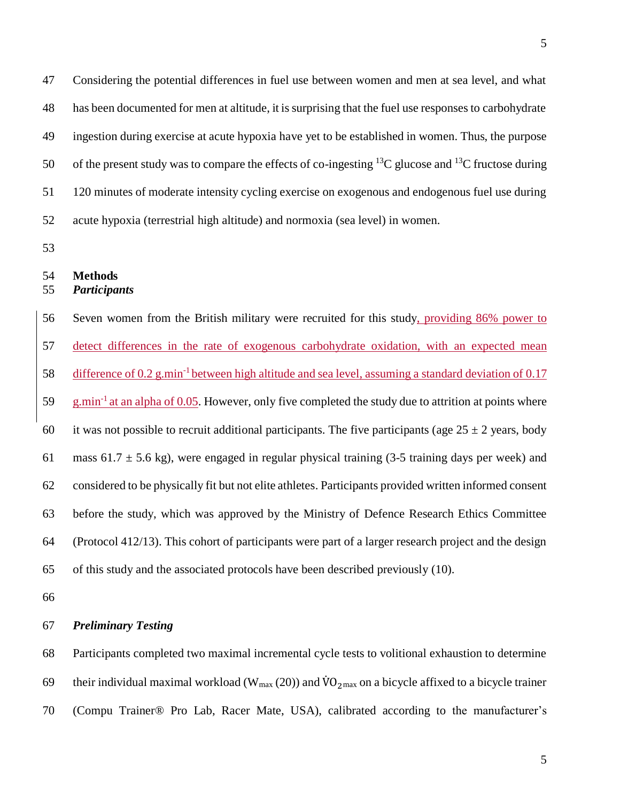Considering the potential differences in fuel use between women and men at sea level, and what has been documented for men at altitude, it is surprising that the fuel use responses to carbohydrate ingestion during exercise at acute hypoxia have yet to be established in women. Thus, the purpose 50 of the present study was to compare the effects of co-ingesting  $^{13}C$  glucose and  $^{13}C$  fructose during 120 minutes of moderate intensity cycling exercise on exogenous and endogenous fuel use during acute hypoxia (terrestrial high altitude) and normoxia (sea level) in women.

# **Methods**

# *Participants*

 Seven women from the British military were recruited for this study, providing 86% power to detect differences in the rate of exogenous carbohydrate oxidation, with an expected mean 58 difference of 0.2 g.min<sup>-1</sup> between high altitude and sea level, assuming a standard deviation of 0.17  $\frac{1}{2}$  g.min<sup>-1</sup> at an alpha of 0.05. However, only five completed the study due to attrition at points where 60 it was not possible to recruit additional participants. The five participants (age  $25 \pm 2$  years, body 61 mass 61.7  $\pm$  5.6 kg), were engaged in regular physical training (3-5 training days per week) and considered to be physically fit but not elite athletes. Participants provided written informed consent before the study, which was approved by the Ministry of Defence Research Ethics Committee (Protocol 412/13). This cohort of participants were part of a larger research project and the design of this study and the associated protocols have been described previously [\(10\)](#page-20-7).

# *Preliminary Testing*

Participants completed two maximal incremental cycle tests to volitional exhaustion to determine

- 69 their individual maximal workload ( $W_{max}$  [\(20\)](#page-22-0)) and  $\dot{V}O_{2max}$  on a bicycle affixed to a bicycle trainer
- (Compu Trainer® Pro Lab, Racer Mate, USA), calibrated according to the manufacturer's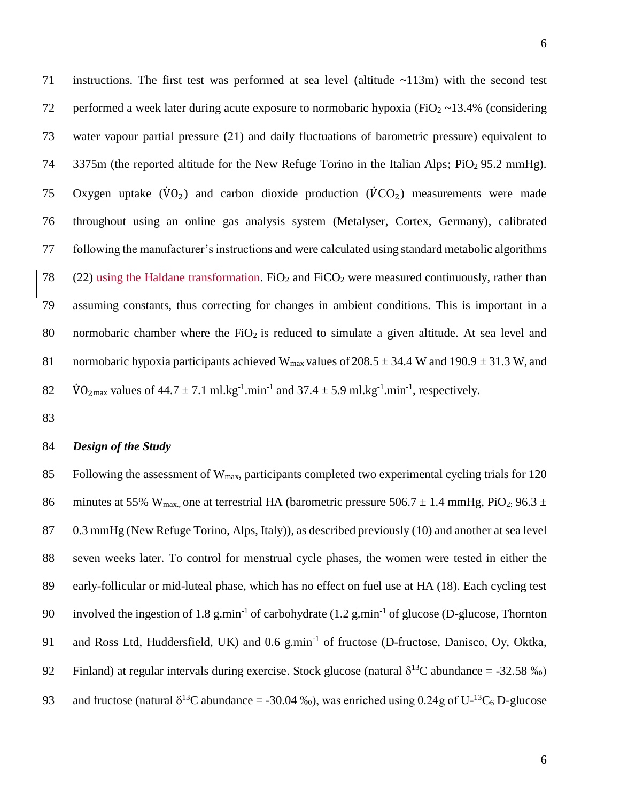71 instructions. The first test was performed at sea level (altitude ~113m) with the second test 72 performed a week later during acute exposure to normobaric hypoxia (FiO<sub>2</sub>  $\sim$ 13.4% (considering 73 water vapour partial pressure [\(21\)](#page-22-1) and daily fluctuations of barometric pressure) equivalent to 74 3375m (the reported altitude for the New Refuge Torino in the Italian Alps; PiO<sub>2</sub> 95.2 mmHg). 75 Oxygen uptake  $(\dot{V}O_2)$  and carbon dioxide production  $(\dot{V}CO_2)$  measurements were made 76 throughout using an online gas analysis system (Metalyser, Cortex, Germany), calibrated 77 following the manufacturer's instructions and were calculated using standard metabolic algorithms 78 [\(22\)](#page-22-2) using the Haldane transformation. FiO<sub>2</sub> and FiCO<sub>2</sub> were measured continuously, rather than 79 assuming constants, thus correcting for changes in ambient conditions. This is important in a 80 normobaric chamber where the  $FiO<sub>2</sub>$  is reduced to simulate a given altitude. At sea level and 81 normobaric hypoxia participants achieved W<sub>max</sub> values of 208.5  $\pm$  34.4 W and 190.9  $\pm$  31.3 W, and 82  $\text{VO}_{2\text{max}}$  values of  $44.7 \pm 7.1 \text{ ml} \cdot \text{kg}^{-1} \cdot \text{min}^{-1}$  and  $37.4 \pm 5.9 \text{ ml} \cdot \text{kg}^{-1} \cdot \text{min}^{-1}$ , respectively.

83

#### 84 *Design of the Study*

85 Following the assessment of  $W_{\text{max}}$ , participants completed two experimental cycling trials for 120 86 minutes at 55% W<sub>max</sub>, one at terrestrial HA (barometric pressure 506.7  $\pm$  1.4 mmHg, PiO<sub>2</sub>: 96.3  $\pm$ 87 0.3 mmHg (New Refuge Torino, Alps, Italy)), as described previously [\(10\)](#page-20-7) and another at sea level 88 seven weeks later. To control for menstrual cycle phases, the women were tested in either the 89 early-follicular or mid-luteal phase, which has no effect on fuel use at HA [\(18\)](#page-21-6). Each cycling test 90 involved the ingestion of 1.8 g.min<sup>-1</sup> of carbohydrate  $(1.2 \text{ g.min}^{-1}$  of glucose (D-glucose, Thornton 91 and Ross Ltd, Huddersfield, UK) and 0.6 g.min<sup>-1</sup> of fructose (D-fructose, Danisco, Oy, Oktka, 92 Finland) at regular intervals during exercise. Stock glucose (natural  $\delta^{13}C$  abundance = -32.58 ‰) 93 and fructose (natural  $\delta^{13}C$  abundance = -30.04 ‰), was enriched using 0.24g of U- $^{13}C_6$  D-glucose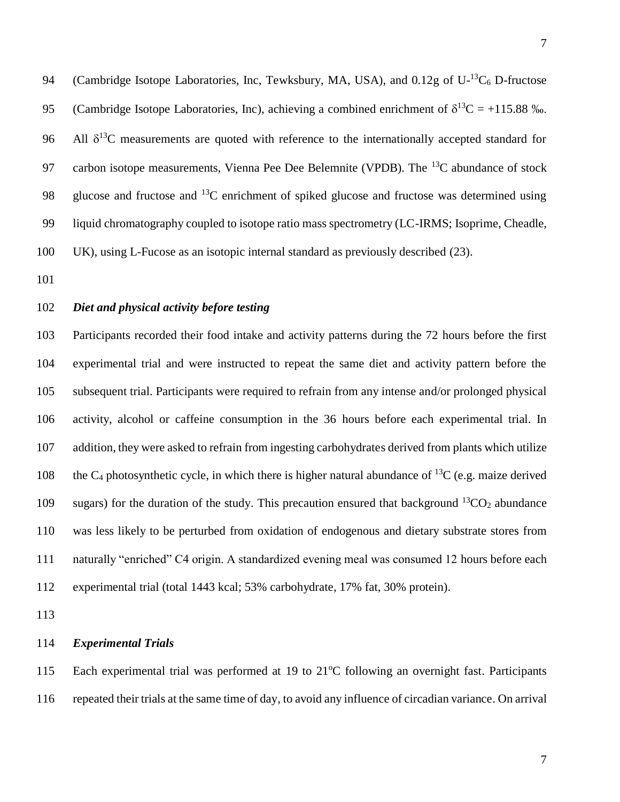94 (Cambridge Isotope Laboratories, Inc, Tewksbury, MA, USA), and  $0.12g$  of U- $^{13}C_6$  D-fructose 95 (Cambridge Isotope Laboratories, Inc), achieving a combined enrichment of  $\delta^{13}C = +115.88$  ‰. 96 All  $\delta^{13}$ C measurements are quoted with reference to the internationally accepted standard for 97 carbon isotope measurements, Vienna Pee Dee Belemnite (VPDB). The  $^{13}C$  abundance of stock 98 glucose and fructose and  $^{13}$ C enrichment of spiked glucose and fructose was determined using liquid chromatography coupled to isotope ratio mass spectrometry (LC-IRMS; Isoprime, Cheadle, UK), using L-Fucose as an isotopic internal standard as previously described [\(23\)](#page-22-3).

# *Diet and physical activity before testing*

 Participants recorded their food intake and activity patterns during the 72 hours before the first experimental trial and were instructed to repeat the same diet and activity pattern before the subsequent trial. Participants were required to refrain from any intense and/or prolonged physical activity, alcohol or caffeine consumption in the 36 hours before each experimental trial. In addition, they were asked to refrain from ingesting carbohydrates derived from plants which utilize 108 the C<sub>4</sub> photosynthetic cycle, in which there is higher natural abundance of <sup>13</sup>C (e.g. maize derived 109 sugars) for the duration of the study. This precaution ensured that background  ${}^{13}CO_2$  abundance was less likely to be perturbed from oxidation of endogenous and dietary substrate stores from naturally "enriched" C4 origin. A standardized evening meal was consumed 12 hours before each experimental trial (total 1443 kcal; 53% carbohydrate, 17% fat, 30% protein).

# *Experimental Trials*

115 Each experimental trial was performed at 19 to 21°C following an overnight fast. Participants repeated their trials at the same time of day, to avoid any influence of circadian variance. On arrival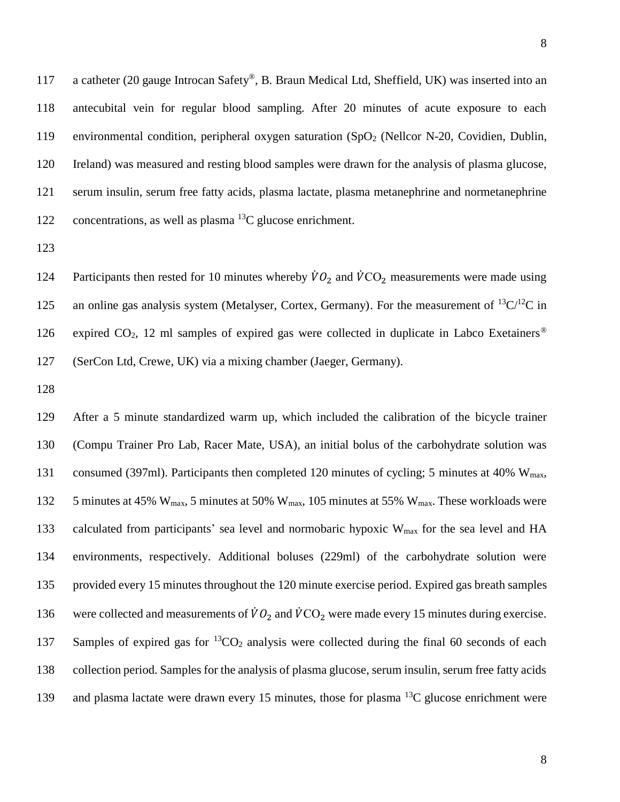117 a catheter (20 gauge Introcan Safety®, B. Braun Medical Ltd, Sheffield, UK) was inserted into an 118 antecubital vein for regular blood sampling. After 20 minutes of acute exposure to each 119 environmental condition, peripheral oxygen saturation  $(SpO<sub>2</sub>$  (Nellcor N-20, Covidien, Dublin, 120 Ireland) was measured and resting blood samples were drawn for the analysis of plasma glucose, 121 serum insulin, serum free fatty acids, plasma lactate, plasma metanephrine and normetanephrine 122 concentrations, as well as plasma  $^{13}$ C glucose enrichment.

123

124 Participants then rested for 10 minutes whereby  $\dot{V}O_2$  and  $\dot{V}CO_2$  measurements were made using 125 an online gas analysis system (Metalyser, Cortex, Germany). For the measurement of  ${}^{13}C/{}^{12}C$  in expired  $CO<sub>2</sub>$ , 12 ml samples of expired gas were collected in duplicate in Labco Exetainers<sup>®</sup> 126 127 (SerCon Ltd, Crewe, UK) via a mixing chamber (Jaeger, Germany).

128

129 After a 5 minute standardized warm up, which included the calibration of the bicycle trainer 130 (Compu Trainer Pro Lab, Racer Mate, USA), an initial bolus of the carbohydrate solution was 131 consumed (397ml). Participants then completed 120 minutes of cycling; 5 minutes at 40% W<sub>max</sub>, 132 5 minutes at 45% W<sub>max</sub>, 5 minutes at 50% W<sub>max</sub>, 105 minutes at 55% W<sub>max</sub>. These workloads were 133 calculated from participants' sea level and normobaric hypoxic W<sub>max</sub> for the sea level and HA 134 environments, respectively. Additional boluses (229ml) of the carbohydrate solution were 135 provided every 15 minutes throughout the 120 minute exercise period. Expired gas breath samples 136 were collected and measurements of  $\dot{V}O_2$  and  $\dot{V}CO_2$  were made every 15 minutes during exercise. 137 Samples of expired gas for  ${}^{13}CO_2$  analysis were collected during the final 60 seconds of each 138 collection period. Samples for the analysis of plasma glucose, serum insulin, serum free fatty acids 139 and plasma lactate were drawn every 15 minutes, those for plasma  $^{13}C$  glucose enrichment were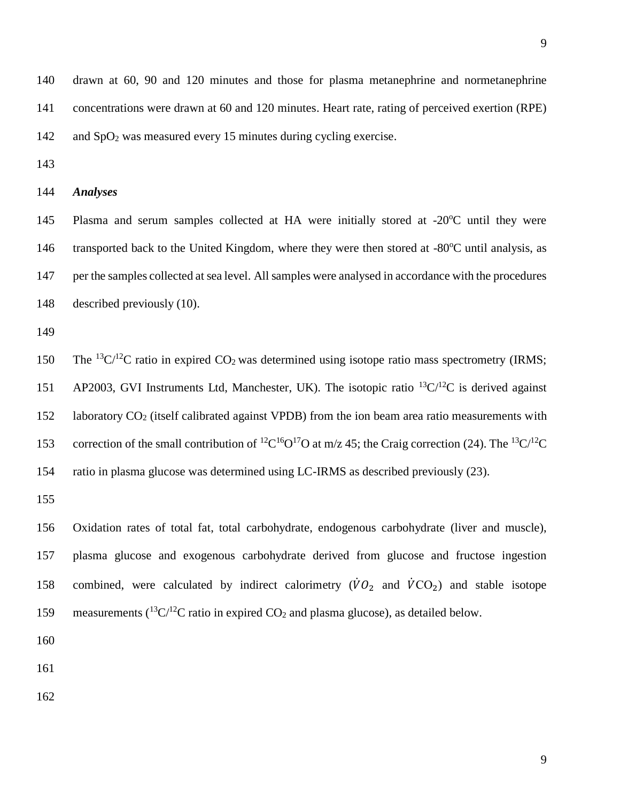drawn at 60, 90 and 120 minutes and those for plasma metanephrine and normetanephrine concentrations were drawn at 60 and 120 minutes. Heart rate, rating of perceived exertion (RPE) 142 and SpO<sub>2</sub> was measured every 15 minutes during cycling exercise.

# *Analyses*

145 Plasma and serum samples collected at HA were initially stored at -20°C until they were 146 transported back to the United Kingdom, where they were then stored at -80°C until analysis, as per the samples collected at sea level. All samples were analysed in accordance with the procedures described previously [\(10\)](#page-20-7).

150 The <sup>13</sup>C/<sup>12</sup>C ratio in expired CO<sub>2</sub> was determined using isotope ratio mass spectrometry (IRMS; 151 AP2003, GVI Instruments Ltd, Manchester, UK). The isotopic ratio  ${}^{13}C/{}^{12}C$  is derived against 152 laboratory CO<sub>2</sub> (itself calibrated against VPDB) from the ion beam area ratio measurements with 153 correction of the small contribution of <sup>12</sup>C<sup>16</sup>O<sup>17</sup>O at m/z 45; the Craig correction [\(24\)](#page-22-4). The <sup>13</sup>C<sup>/12</sup>C ratio in plasma glucose was determined using LC-IRMS as described previously [\(23\)](#page-22-3).

 Oxidation rates of total fat, total carbohydrate, endogenous carbohydrate (liver and muscle), plasma glucose and exogenous carbohydrate derived from glucose and fructose ingestion 158 combined, were calculated by indirect calorimetry  $(\dot{V}O_2)$  and  $\dot{V}CO_2$  and stable isotope 159 measurements  $(^{13}C/^{12}C$  ratio in expired CO<sub>2</sub> and plasma glucose), as detailed below.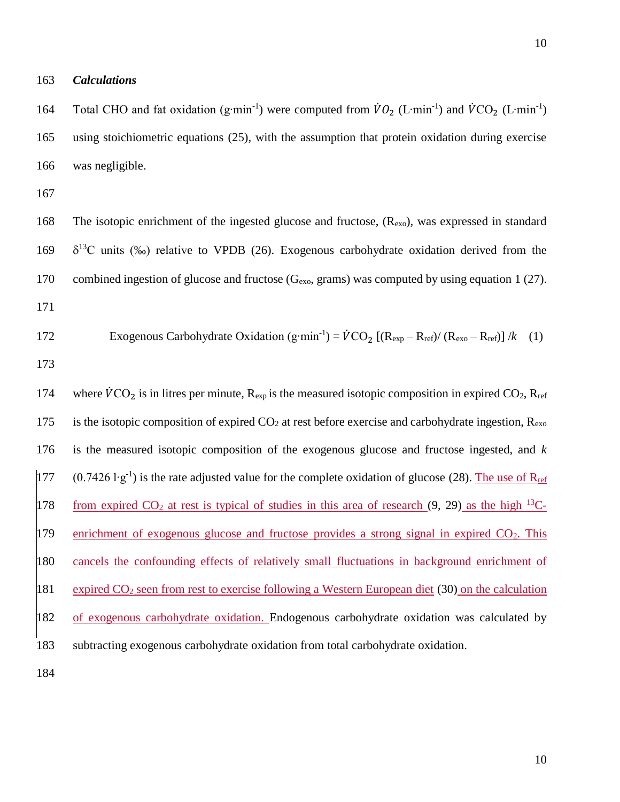163 *Calculations* 

164 Total CHO and fat oxidation (g⋅min<sup>-1</sup>) were computed from  $\dot{V}O_2$  (L⋅min<sup>-1</sup>) and  $\dot{V}CO_2$  (L⋅min<sup>-1</sup>) 165 using stoichiometric equations [\(25\)](#page-22-5), with the assumption that protein oxidation during exercise 166 was negligible.

167

168 The isotopic enrichment of the ingested glucose and fructose, (R<sub>exo</sub>), was expressed in standard 169  $\delta^{13}$ C units (‰) relative to VPDB [\(26\)](#page-22-6). Exogenous carbohydrate oxidation derived from the 170 combined ingestion of glucose and fructose  $(G_{\text{exo}})$ , grams) was computed by using equation 1 [\(27\)](#page-22-7). 171

172 Exogenous Carbohydrate Oxidation (g·min<sup>-1</sup>) = 
$$
\dot{V}
$$
CO<sub>2</sub> [(R<sub>exp</sub> - R<sub>ref</sub>)/(R<sub>exo</sub> - R<sub>ref</sub>)] /k (1)

173

174 where  $\dot{V}CO_2$  is in litres per minute,  $R_{exp}$  is the measured isotopic composition in expired CO<sub>2</sub>,  $R_{ref}$ 175 is the isotopic composition of expired  $CO_2$  at rest before exercise and carbohydrate ingestion,  $R_{\text{exo}}$ 176 is the measured isotopic composition of the exogenous glucose and fructose ingested, and *k*  177 (0.7426 l⋅g<sup>-1</sup>) is the rate adjusted value for the complete oxidation of glucose [\(28\)](#page-22-8). The use of R<sub>ref</sub> 178 from expired  $CO_2$  at rest is typical of studies in this area of research [\(9,](#page-20-6) [29\)](#page-23-0) as the high <sup>13</sup>C-179 enrichment of exogenous glucose and fructose provides a strong signal in expired  $CO<sub>2</sub>$ . This 180 cancels the confounding effects of relatively small fluctuations in background enrichment of 181 expired CO<sup>2</sup> seen from rest to exercise following a Western European diet [\(30\)](#page-23-1) on the calculation 182 of exogenous carbohydrate oxidation. Endogenous carbohydrate oxidation was calculated by 183 subtracting exogenous carbohydrate oxidation from total carbohydrate oxidation.

184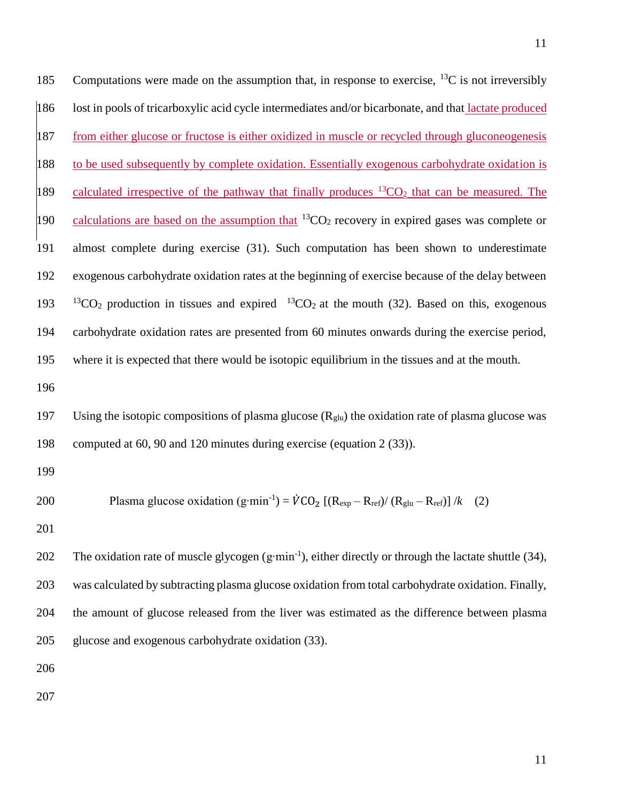185 Computations were made on the assumption that, in response to exercise,  $^{13}C$  is not irreversibly lost in pools of tricarboxylic acid cycle intermediates and/or bicarbonate, and that lactate produced from either glucose or fructose is either oxidized in muscle or recycled through gluconeogenesis to be used subsequently by complete oxidation. Essentially exogenous carbohydrate oxidation is 189 calculated irrespective of the pathway that finally produces  ${}^{13}CO_2$  that can be measured. The 190 calculations are based on the assumption that  ${}^{13}CO_2$  recovery in expired gases was complete or almost complete during exercise [\(31\)](#page-23-2). Such computation has been shown to underestimate exogenous carbohydrate oxidation rates at the beginning of exercise because of the delay between  $13CO<sub>2</sub>$  production in tissues and expired  $13CO<sub>2</sub>$  at the mouth [\(32\)](#page-23-3). Based on this, exogenous carbohydrate oxidation rates are presented from 60 minutes onwards during the exercise period, where it is expected that there would be isotopic equilibrium in the tissues and at the mouth. 

197 Using the isotopic compositions of plasma glucose  $(R_{\text{glu}})$  the oxidation rate of plasma glucose was computed at 60, 90 and 120 minutes during exercise (equation 2 [\(33\)](#page-23-4)).

200 Plasma glucose oxidation (g·min<sup>-1</sup>) = 
$$
\dot{V}
$$
CO<sub>2</sub> [(R<sub>exp</sub> - R<sub>ref</sub>)/(R<sub>glu</sub> - R<sub>ref</sub>)] /k (2)

202 The oxidation rate of muscle glycogen  $(g·min^{-1})$ , either directly or through the lactate shuttle [\(34\)](#page-23-5), was calculated by subtracting plasma glucose oxidation from total carbohydrate oxidation. Finally, the amount of glucose released from the liver was estimated as the difference between plasma glucose and exogenous carbohydrate oxidation [\(33\)](#page-23-4).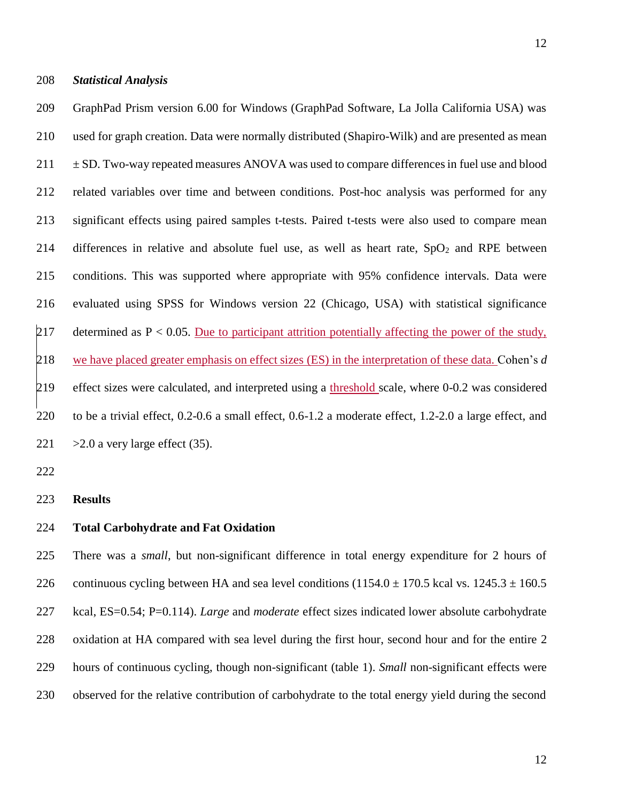#### *Statistical Analysis*

 GraphPad Prism version 6.00 for Windows (GraphPad Software, La Jolla California USA) was used for graph creation. Data were normally distributed (Shapiro-Wilk) and are presented as mean  $211 \pm SD$ . Two-way repeated measures ANOVA was used to compare differences in fuel use and blood related variables over time and between conditions. Post-hoc analysis was performed for any significant effects using paired samples t-tests. Paired t-tests were also used to compare mean 214 differences in relative and absolute fuel use, as well as heart rate,  $SpO<sub>2</sub>$  and RPE between conditions. This was supported where appropriate with 95% confidence intervals. Data were evaluated using SPSS for Windows version 22 (Chicago, USA) with statistical significance 217 determined as  $P < 0.05$ . Due to participant attrition potentially affecting the power of the study, we have placed greater emphasis on effect sizes (ES) in the interpretation of these data. Cohen's *d*  effect sizes were calculated, and interpreted using a threshold scale, where 0-0.2 was considered to be a trivial effect, 0.2-0.6 a small effect, 0.6-1.2 a moderate effect, 1.2-2.0 a large effect, and  $>2.0$  a very large effect [\(35\)](#page-23-6).

**Results**

#### **Total Carbohydrate and Fat Oxidation**

 There was a *small*, but non-significant difference in total energy expenditure for 2 hours of 226 continuous cycling between HA and sea level conditions  $(1154.0 \pm 170.5 \text{ kcal vs. } 1245.3 \pm 160.5 \text{ m})$  kcal, ES=0.54; P=0.114). *Large* and *moderate* effect sizes indicated lower absolute carbohydrate oxidation at HA compared with sea level during the first hour, second hour and for the entire 2 hours of continuous cycling, though non-significant (table 1). *Small* non-significant effects were observed for the relative contribution of carbohydrate to the total energy yield during the second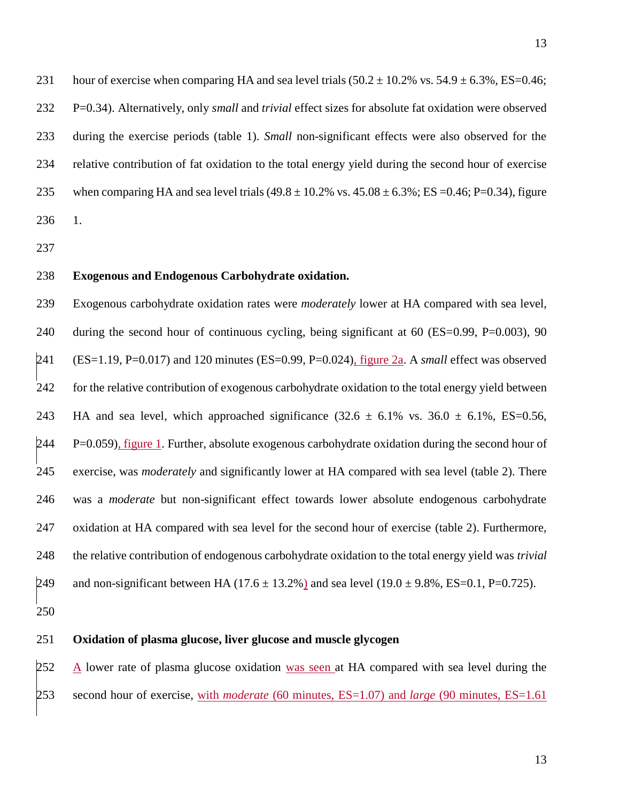231 hour of exercise when comparing HA and sea level trials  $(50.2 \pm 10.2\% \text{ vs. } 54.9 \pm 6.3\% \text{ , } ES=0.46$ ; P=0.34). Alternatively, only *small* and *trivial* effect sizes for absolute fat oxidation were observed during the exercise periods (table 1). *Small* non-significant effects were also observed for the relative contribution of fat oxidation to the total energy yield during the second hour of exercise 235 when comparing HA and sea level trials  $(49.8 \pm 10.2\% \text{ vs. } 45.08 \pm 6.3\% \cdot \text{ ES} = 0.46; P = 0.34)$ , figure 1.

### **Exogenous and Endogenous Carbohydrate oxidation.**

 Exogenous carbohydrate oxidation rates were *moderately* lower at HA compared with sea level, 240 during the second hour of continuous cycling, being significant at 60 (ES=0.99, P=0.003), 90 (ES=1.19, P=0.017) and 120 minutes (ES=0.99, P=0.024), figure 2a. A *small* effect was observed for the relative contribution of exogenous carbohydrate oxidation to the total energy yield between 243 HA and sea level, which approached significance  $(32.6 \pm 6.1\% \text{ vs. } 36.0 \pm 6.1\% \text{ , } ES=0.56,$  P=0.059), figure 1. Further, absolute exogenous carbohydrate oxidation during the second hour of exercise, was *moderately* and significantly lower at HA compared with sea level (table 2). There was a *moderate* but non-significant effect towards lower absolute endogenous carbohydrate oxidation at HA compared with sea level for the second hour of exercise (table 2). Furthermore, the relative contribution of endogenous carbohydrate oxidation to the total energy yield was *trivial* 249 and non-significant between HA (17.6  $\pm$  13.2%) and sea level (19.0  $\pm$  9.8%, ES=0.1, P=0.725).

### **Oxidation of plasma glucose, liver glucose and muscle glycogen**

252 A lower rate of plasma glucose oxidation was seen at HA compared with sea level during the second hour of exercise, with *moderate* (60 minutes, ES=1.07) and *large* (90 minutes, ES=1.61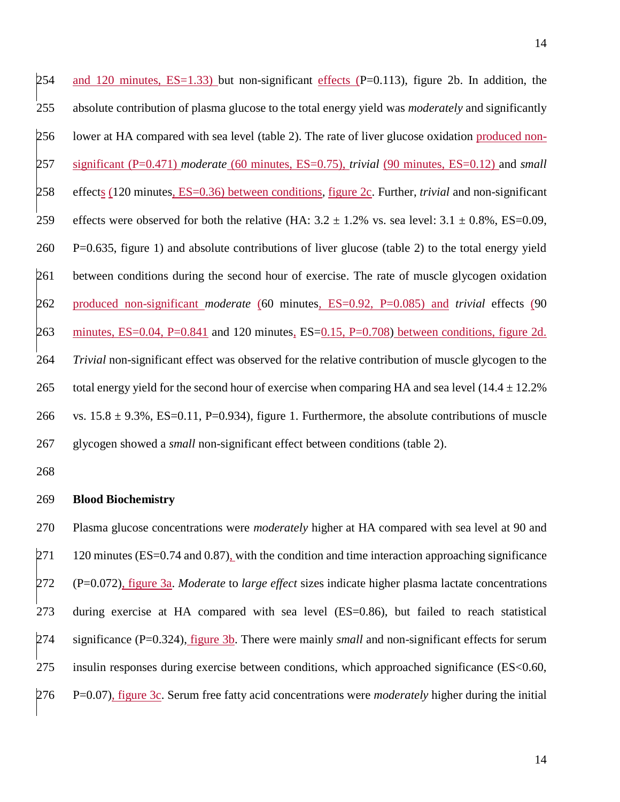254 and 120 minutes,  $ES=1.33$ ) but non-significant effects (P=0.113), figure 2b. In addition, the absolute contribution of plasma glucose to the total energy yield was *moderately* and significantly 256 lower at HA compared with sea level (table 2). The rate of liver glucose oxidation produced non- significant (P=0.471) *moderate* (60 minutes, ES=0.75), *trivial* (90 minutes, ES=0.12) and *small* effects (120 minutes, ES=0.36) between conditions, figure 2c. Further, *trivial* and non-significant 259 effects were observed for both the relative (HA:  $3.2 \pm 1.2\%$  vs. sea level:  $3.1 \pm 0.8\%$ , ES=0.09, P=0.635, figure 1) and absolute contributions of liver glucose (table 2) to the total energy yield between conditions during the second hour of exercise. The rate of muscle glycogen oxidation produced non-significant *moderate* (60 minutes, ES=0.92, P=0.085) and *trivial* effects (90 minutes, ES=0.04, P=0.841 and 120 minutes, ES=0.15, P=0.708) between conditions, figure 2d. *Trivial* non-significant effect was observed for the relative contribution of muscle glycogen to the 265 total energy yield for the second hour of exercise when comparing HA and sea level (14.4  $\pm$  12.2%) 266 vs.  $15.8 \pm 9.3\%$ , ES=0.11, P=0.934), figure 1. Furthermore, the absolute contributions of muscle glycogen showed a *small* non-significant effect between conditions (table 2).

### **Blood Biochemistry**

 Plasma glucose concentrations were *moderately* higher at HA compared with sea level at 90 and 120 minutes (ES=0.74 and 0.87), with the condition and time interaction approaching significance (P=0.072), figure 3a. *Moderate* to *large effect* sizes indicate higher plasma lactate concentrations during exercise at HA compared with sea level (ES=0.86), but failed to reach statistical significance (P=0.324), figure 3b. There were mainly *small* and non-significant effects for serum insulin responses during exercise between conditions, which approached significance (ES<0.60, P=0.07), figure 3c. Serum free fatty acid concentrations were *moderately* higher during the initial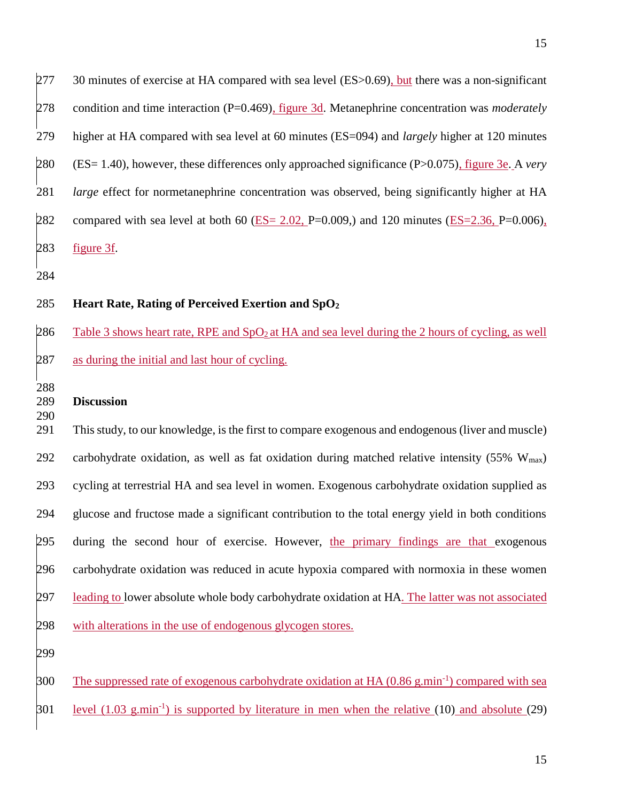277 30 minutes of exercise at HA compared with sea level (ES>0.69), but there was a non-significant condition and time interaction (P=0.469), figure 3d. Metanephrine concentration was *moderately*  higher at HA compared with sea level at 60 minutes (ES=094) and *largely* higher at 120 minutes (ES= 1.40), however, these differences only approached significance (P>0.075), figure 3e. A *very large* effect for normetanephrine concentration was observed, being significantly higher at HA 282 compared with sea level at both 60 (ES=  $2.02$ , P=0.009,) and 120 minutes (ES=2.36, P=0.006), figure 3f. 

# **Heart Rate, Rating of Perceived Exertion and SpO<sup>2</sup>**

286 Table 3 shows heart rate, RPE and  $SpO<sub>2</sub>$  at HA and sea level during the 2 hours of cycling, as well as during the initial and last hour of cycling.

### **Discussion**

 This study, to our knowledge, is the first to compare exogenous and endogenous (liver and muscle) 292 carbohydrate oxidation, as well as fat oxidation during matched relative intensity (55%  $W_{\text{max}}$ ) cycling at terrestrial HA and sea level in women. Exogenous carbohydrate oxidation supplied as glucose and fructose made a significant contribution to the total energy yield in both conditions during the second hour of exercise. However, the primary findings are that exogenous carbohydrate oxidation was reduced in acute hypoxia compared with normoxia in these women 297 leading to lower absolute whole body carbohydrate oxidation at HA. The latter was not associated with alterations in the use of endogenous glycogen stores.

300 The suppressed rate of exogenous carbohydrate oxidation at HA  $(0.86 \text{ g.min}^{-1})$  compared with sea

 $\beta$ 01 level (1.03 g.min<sup>-1</sup>) is supported by literature in men when the relative [\(10\)](#page-20-7) and absolute [\(29\)](#page-23-0)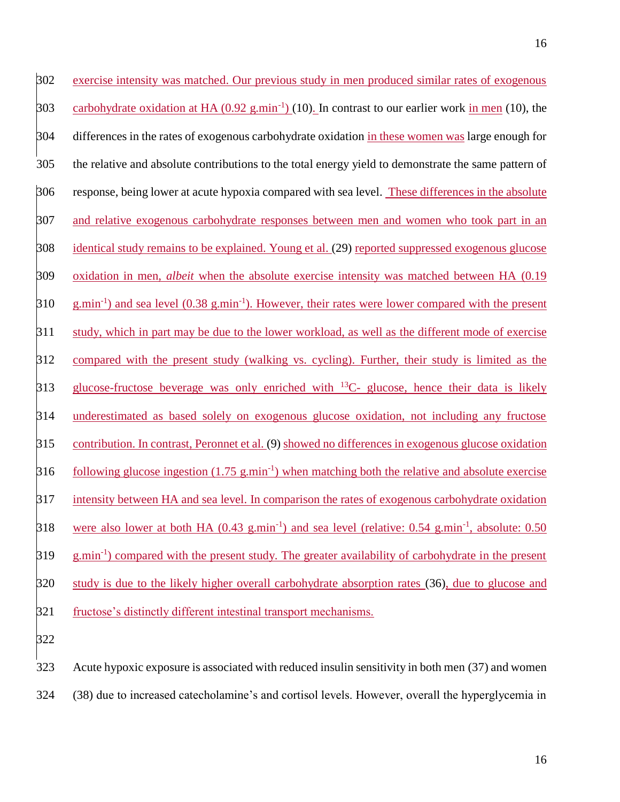exercise intensity was matched. Our previous study in men produced similar rates of exogenous 303 carbohydrate oxidation at HA  $(0.92 \text{ g.min}^{-1})$  [\(10\)](#page-20-7). In contrast to our earlier work in men (10), the differences in the rates of exogenous carbohydrate oxidation in these women was large enough for the relative and absolute contributions to the total energy yield to demonstrate the same pattern of response, being lower at acute hypoxia compared with sea level. These differences in the absolute and relative exogenous carbohydrate responses between men and women who took part in an identical study remains to be explained. Young et al. [\(29\)](#page-23-0) reported suppressed exogenous glucose oxidation in men, *albeit* when the absolute exercise intensity was matched between HA (0.19  $310 \text{ g,min}^{-1}$  and sea level  $(0.38 \text{ g,min}^{-1})$ . However, their rates were lower compared with the present study, which in part may be due to the lower workload, as well as the different mode of exercise compared with the present study (walking vs. cycling). Further, their study is limited as the  $\beta$ 13 glucose-fructose beverage was only enriched with <sup>13</sup>C- glucose, hence their data is likely underestimated as based solely on exogenous glucose oxidation, not including any fructose contribution. In contrast, Peronnet et al. [\(9\)](#page-20-6) showed no differences in exogenous glucose oxidation following glucose ingestion  $(1.75 \text{ g.min}^{-1})$  when matching both the relative and absolute exercise intensity between HA and sea level. In comparison the rates of exogenous carbohydrate oxidation 318 were also lower at both HA (0.43 g.min<sup>-1</sup>) and sea level (relative: 0.54 g.min<sup>-1</sup>, absolute: 0.50 319 g.min<sup>-1</sup>) compared with the present study. The greater availability of carbohydrate in the present study is due to the likely higher overall carbohydrate absorption rates [\(36\)](#page-23-7), due to glucose and fructose's distinctly different intestinal transport mechanisms. 

 Acute hypoxic exposure is associated with reduced insulin sensitivity in both men [\(37\)](#page-23-8) and women [\(38\)](#page-24-0) due to increased catecholamine's and cortisol levels. However, overall the hyperglycemia in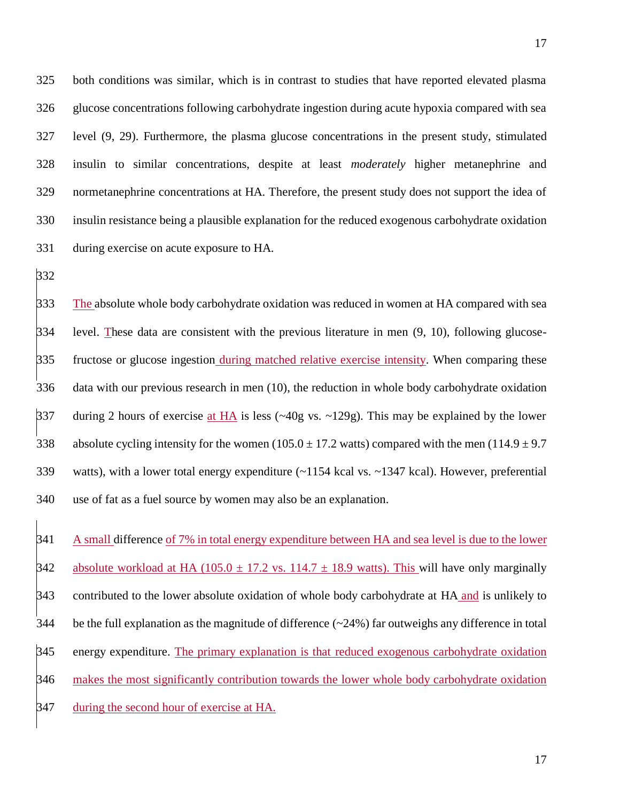both conditions was similar, which is in contrast to studies that have reported elevated plasma glucose concentrations following carbohydrate ingestion during acute hypoxia compared with sea level [\(9,](#page-20-6) [29\)](#page-23-0). Furthermore, the plasma glucose concentrations in the present study, stimulated insulin to similar concentrations, despite at least *moderately* higher metanephrine and normetanephrine concentrations at HA. Therefore, the present study does not support the idea of insulin resistance being a plausible explanation for the reduced exogenous carbohydrate oxidation during exercise on acute exposure to HA.

333 The absolute whole body carbohydrate oxidation was reduced in women at HA compared with sea level. These data are consistent with the previous literature in men [\(9,](#page-20-6) [10\)](#page-20-7), following glucose- fructose or glucose ingestion during matched relative exercise intensity. When comparing these data with our previous research in men [\(10\)](#page-20-7), the reduction in whole body carbohydrate oxidation during 2 hours of exercise at HA is less (~40g vs. ~129g). This may be explained by the lower 338 absolute cycling intensity for the women (105.0  $\pm$  17.2 watts) compared with the men (114.9  $\pm$  9.7 watts), with a lower total energy expenditure (~1154 kcal vs. ~1347 kcal). However, preferential use of fat as a fuel source by women may also be an explanation.

341 A small difference of 7% in total energy expenditure between HA and sea level is due to the lower absolute workload at HA (105.0  $\pm$  17.2 vs. 114.7  $\pm$  18.9 watts). This will have only marginally contributed to the lower absolute oxidation of whole body carbohydrate at HA and is unlikely to be the full explanation as the magnitude of difference (~24%) far outweighs any difference in total energy expenditure. The primary explanation is that reduced exogenous carbohydrate oxidation 346 makes the most significantly contribution towards the lower whole body carbohydrate oxidation during the second hour of exercise at HA.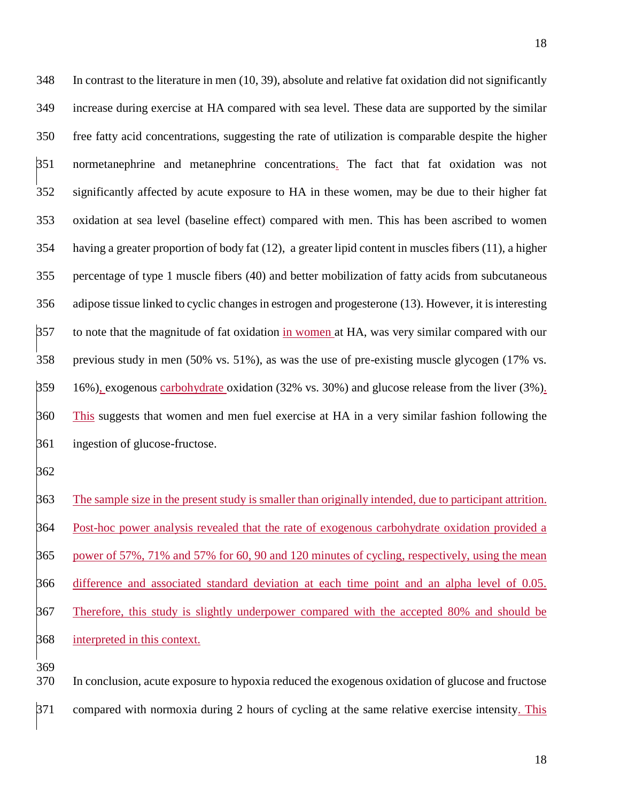In contrast to the literature in men [\(10,](#page-20-7) [39\)](#page-24-1), absolute and relative fat oxidation did not significantly increase during exercise at HA compared with sea level. These data are supported by the similar free fatty acid concentrations, suggesting the rate of utilization is comparable despite the higher normetanephrine and metanephrine concentrations. The fact that fat oxidation was not significantly affected by acute exposure to HA in these women, may be due to their higher fat oxidation at sea level (baseline effect) compared with men. This has been ascribed to women having a greater proportion of body fat [\(12\)](#page-21-0), a greater lipid content in muscles fibers [\(11\)](#page-20-8), a higher percentage of type 1 muscle fibers [\(40\)](#page-24-2) and better mobilization of fatty acids from subcutaneous adipose tissue linked to cyclic changes in estrogen and progesterone [\(13\)](#page-21-1). However, it is interesting to note that the magnitude of fat oxidation in women at HA, was very similar compared with our previous study in men (50% vs. 51%), as was the use of pre-existing muscle glycogen (17% vs. 16%), exogenous carbohydrate oxidation (32% vs. 30%) and glucose release from the liver (3%). 360 This suggests that women and men fuel exercise at HA in a very similar fashion following the ingestion of glucose-fructose.

 The sample size in the present study is smaller than originally intended, due to participant attrition. 364 Post-hoc power analysis revealed that the rate of exogenous carbohydrate oxidation provided a power of 57%, 71% and 57% for 60, 90 and 120 minutes of cycling, respectively, using the mean difference and associated standard deviation at each time point and an alpha level of 0.05. Therefore, this study is slightly underpower compared with the accepted 80% and should be interpreted in this context.

 In conclusion, acute exposure to hypoxia reduced the exogenous oxidation of glucose and fructose compared with normoxia during 2 hours of cycling at the same relative exercise intensity. This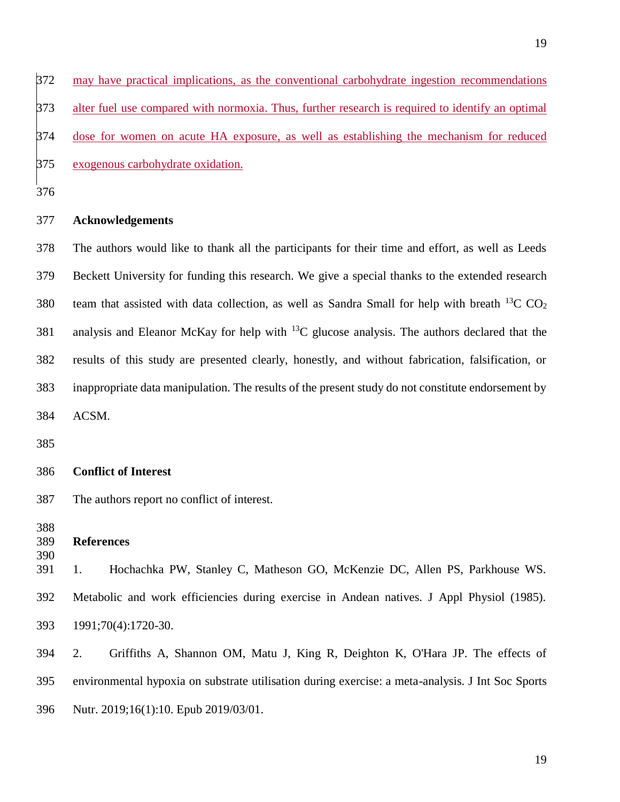may have practical implications, as the conventional carbohydrate ingestion recommendations alter fuel use compared with normoxia. Thus, further research is required to identify an optimal dose for women on acute HA exposure, as well as establishing the mechanism for reduced exogenous carbohydrate oxidation.

### **Acknowledgements**

 The authors would like to thank all the participants for their time and effort, as well as Leeds Beckett University for funding this research. We give a special thanks to the extended research 380 team that assisted with data collection, as well as Sandra Small for help with breath <sup>13</sup>C CO<sub>2</sub> 381 analysis and Eleanor McKay for help with  $^{13}C$  glucose analysis. The authors declared that the results of this study are presented clearly, honestly, and without fabrication, falsification, or inappropriate data manipulation. The results of the present study do not constitute endorsement by ACSM.

### **Conflict of Interest**

The authors report no conflict of interest.

```
389 References
```
<span id="page-19-0"></span> 1. Hochachka PW, Stanley C, Matheson GO, McKenzie DC, Allen PS, Parkhouse WS. Metabolic and work efficiencies during exercise in Andean natives. J Appl Physiol (1985). 1991;70(4):1720-30.

<span id="page-19-1"></span> 2. Griffiths A, Shannon OM, Matu J, King R, Deighton K, O'Hara JP. The effects of environmental hypoxia on substrate utilisation during exercise: a meta-analysis. J Int Soc Sports Nutr. 2019;16(1):10. Epub 2019/03/01.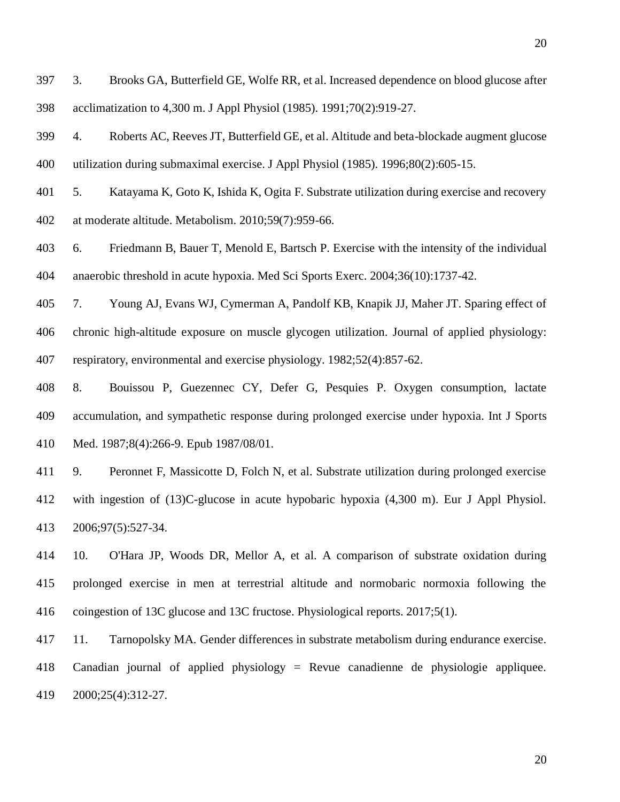<span id="page-20-0"></span> 3. Brooks GA, Butterfield GE, Wolfe RR, et al. Increased dependence on blood glucose after acclimatization to 4,300 m. J Appl Physiol (1985). 1991;70(2):919-27.

<span id="page-20-1"></span> 4. Roberts AC, Reeves JT, Butterfield GE, et al. Altitude and beta-blockade augment glucose utilization during submaximal exercise. J Appl Physiol (1985). 1996;80(2):605-15.

<span id="page-20-2"></span> 5. Katayama K, Goto K, Ishida K, Ogita F. Substrate utilization during exercise and recovery at moderate altitude. Metabolism. 2010;59(7):959-66.

<span id="page-20-3"></span> 6. Friedmann B, Bauer T, Menold E, Bartsch P. Exercise with the intensity of the individual anaerobic threshold in acute hypoxia. Med Sci Sports Exerc. 2004;36(10):1737-42.

<span id="page-20-4"></span> 7. Young AJ, Evans WJ, Cymerman A, Pandolf KB, Knapik JJ, Maher JT. Sparing effect of chronic high-altitude exposure on muscle glycogen utilization. Journal of applied physiology: respiratory, environmental and exercise physiology. 1982;52(4):857-62.

<span id="page-20-5"></span> 8. Bouissou P, Guezennec CY, Defer G, Pesquies P. Oxygen consumption, lactate accumulation, and sympathetic response during prolonged exercise under hypoxia. Int J Sports Med. 1987;8(4):266-9. Epub 1987/08/01.

<span id="page-20-6"></span> 9. Peronnet F, Massicotte D, Folch N, et al. Substrate utilization during prolonged exercise with ingestion of (13)C-glucose in acute hypobaric hypoxia (4,300 m). Eur J Appl Physiol. 2006;97(5):527-34.

<span id="page-20-7"></span> 10. O'Hara JP, Woods DR, Mellor A, et al. A comparison of substrate oxidation during prolonged exercise in men at terrestrial altitude and normobaric normoxia following the coingestion of 13C glucose and 13C fructose. Physiological reports. 2017;5(1).

<span id="page-20-8"></span> 11. Tarnopolsky MA. Gender differences in substrate metabolism during endurance exercise. Canadian journal of applied physiology = Revue canadienne de physiologie appliquee. 2000;25(4):312-27.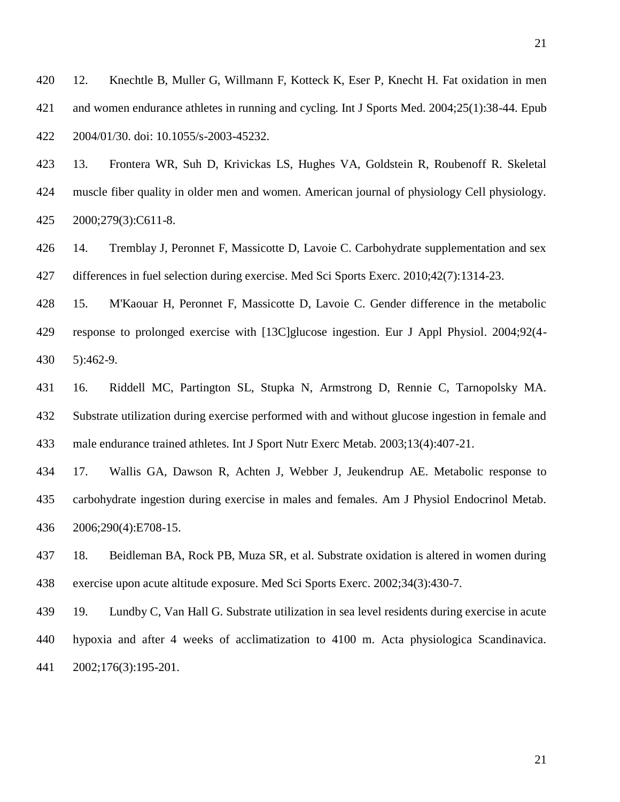<span id="page-21-0"></span> 12. Knechtle B, Muller G, Willmann F, Kotteck K, Eser P, Knecht H. Fat oxidation in men and women endurance athletes in running and cycling. Int J Sports Med. 2004;25(1):38-44. Epub 2004/01/30. doi: 10.1055/s-2003-45232.

<span id="page-21-1"></span> 13. Frontera WR, Suh D, Krivickas LS, Hughes VA, Goldstein R, Roubenoff R. Skeletal muscle fiber quality in older men and women. American journal of physiology Cell physiology. 2000;279(3):C611-8.

<span id="page-21-2"></span> 14. Tremblay J, Peronnet F, Massicotte D, Lavoie C. Carbohydrate supplementation and sex differences in fuel selection during exercise. Med Sci Sports Exerc. 2010;42(7):1314-23.

<span id="page-21-3"></span> 15. M'Kaouar H, Peronnet F, Massicotte D, Lavoie C. Gender difference in the metabolic response to prolonged exercise with [13C]glucose ingestion. Eur J Appl Physiol. 2004;92(4- 5):462-9.

<span id="page-21-4"></span> 16. Riddell MC, Partington SL, Stupka N, Armstrong D, Rennie C, Tarnopolsky MA. Substrate utilization during exercise performed with and without glucose ingestion in female and male endurance trained athletes. Int J Sport Nutr Exerc Metab. 2003;13(4):407-21.

<span id="page-21-5"></span> 17. Wallis GA, Dawson R, Achten J, Webber J, Jeukendrup AE. Metabolic response to carbohydrate ingestion during exercise in males and females. Am J Physiol Endocrinol Metab. 2006;290(4):E708-15.

<span id="page-21-6"></span> 18. Beidleman BA, Rock PB, Muza SR, et al. Substrate oxidation is altered in women during exercise upon acute altitude exposure. Med Sci Sports Exerc. 2002;34(3):430-7.

<span id="page-21-7"></span> 19. Lundby C, Van Hall G. Substrate utilization in sea level residents during exercise in acute hypoxia and after 4 weeks of acclimatization to 4100 m. Acta physiologica Scandinavica. 2002;176(3):195-201.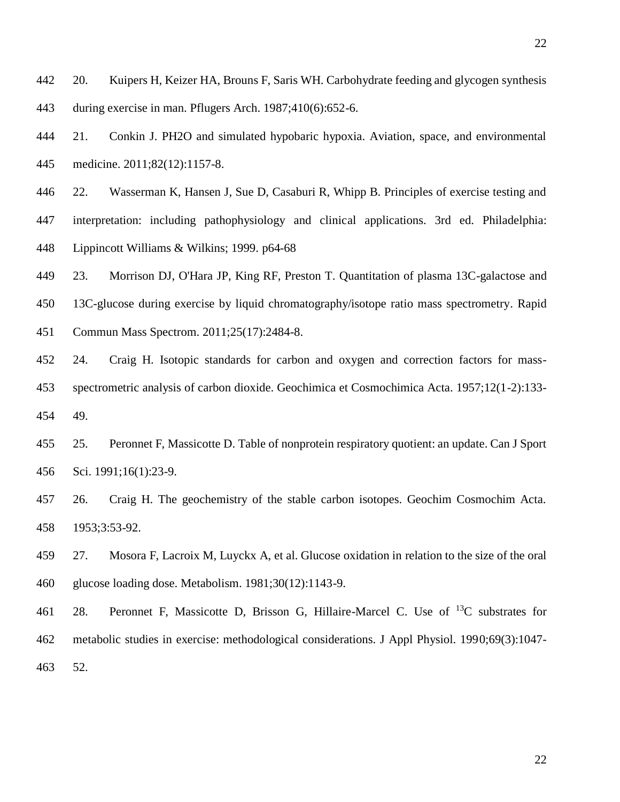<span id="page-22-0"></span> 20. Kuipers H, Keizer HA, Brouns F, Saris WH. Carbohydrate feeding and glycogen synthesis during exercise in man. Pflugers Arch. 1987;410(6):652-6.

<span id="page-22-1"></span> 21. Conkin J. PH2O and simulated hypobaric hypoxia. Aviation, space, and environmental medicine. 2011;82(12):1157-8.

<span id="page-22-2"></span>22. Wasserman K, Hansen J, Sue D, Casaburi R, Whipp B. Principles of exercise testing and

 interpretation: including pathophysiology and clinical applications. 3rd ed. Philadelphia: Lippincott Williams & Wilkins; 1999. p64-68

<span id="page-22-3"></span>23. Morrison DJ, O'Hara JP, King RF, Preston T. Quantitation of plasma 13C-galactose and

13C-glucose during exercise by liquid chromatography/isotope ratio mass spectrometry. Rapid

Commun Mass Spectrom. 2011;25(17):2484-8.

<span id="page-22-4"></span> 24. Craig H. Isotopic standards for carbon and oxygen and correction factors for mass- spectrometric analysis of carbon dioxide. Geochimica et Cosmochimica Acta. 1957;12(1-2):133- 49.

<span id="page-22-5"></span> 25. Peronnet F, Massicotte D. Table of nonprotein respiratory quotient: an update. Can J Sport Sci. 1991;16(1):23-9.

<span id="page-22-6"></span> 26. Craig H. The geochemistry of the stable carbon isotopes. Geochim Cosmochim Acta. 1953;3:53-92.

<span id="page-22-7"></span> 27. Mosora F, Lacroix M, Luyckx A, et al. Glucose oxidation in relation to the size of the oral glucose loading dose. Metabolism. 1981;30(12):1143-9.

<span id="page-22-8"></span>461 28. Peronnet F, Massicotte D, Brisson G, Hillaire-Marcel C. Use of  $^{13}C$  substrates for metabolic studies in exercise: methodological considerations. J Appl Physiol. 1990;69(3):1047- 52.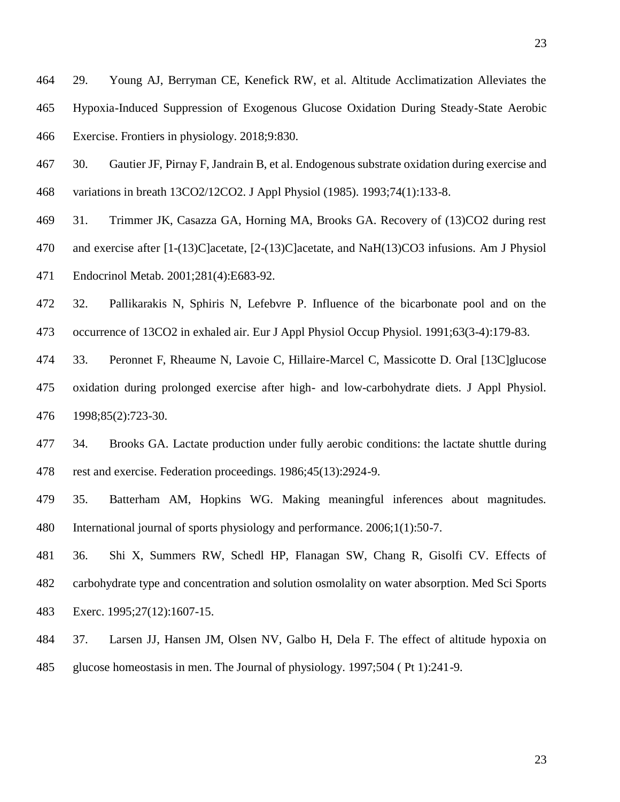<span id="page-23-0"></span> 29. Young AJ, Berryman CE, Kenefick RW, et al. Altitude Acclimatization Alleviates the Hypoxia-Induced Suppression of Exogenous Glucose Oxidation During Steady-State Aerobic Exercise. Frontiers in physiology. 2018;9:830.

<span id="page-23-1"></span> 30. Gautier JF, Pirnay F, Jandrain B, et al. Endogenous substrate oxidation during exercise and variations in breath 13CO2/12CO2. J Appl Physiol (1985). 1993;74(1):133-8.

<span id="page-23-2"></span>31. Trimmer JK, Casazza GA, Horning MA, Brooks GA. Recovery of (13)CO2 during rest

 and exercise after [1-(13)C]acetate, [2-(13)C]acetate, and NaH(13)CO3 infusions. Am J Physiol Endocrinol Metab. 2001;281(4):E683-92.

<span id="page-23-3"></span> 32. Pallikarakis N, Sphiris N, Lefebvre P. Influence of the bicarbonate pool and on the occurrence of 13CO2 in exhaled air. Eur J Appl Physiol Occup Physiol. 1991;63(3-4):179-83.

<span id="page-23-4"></span> 33. Peronnet F, Rheaume N, Lavoie C, Hillaire-Marcel C, Massicotte D. Oral [13C]glucose oxidation during prolonged exercise after high- and low-carbohydrate diets. J Appl Physiol. 1998;85(2):723-30.

<span id="page-23-5"></span> 34. Brooks GA. Lactate production under fully aerobic conditions: the lactate shuttle during rest and exercise. Federation proceedings. 1986;45(13):2924-9.

<span id="page-23-6"></span> 35. Batterham AM, Hopkins WG. Making meaningful inferences about magnitudes. International journal of sports physiology and performance. 2006;1(1):50-7.

<span id="page-23-7"></span> 36. Shi X, Summers RW, Schedl HP, Flanagan SW, Chang R, Gisolfi CV. Effects of carbohydrate type and concentration and solution osmolality on water absorption. Med Sci Sports Exerc. 1995;27(12):1607-15.

<span id="page-23-8"></span> 37. Larsen JJ, Hansen JM, Olsen NV, Galbo H, Dela F. The effect of altitude hypoxia on glucose homeostasis in men. The Journal of physiology. 1997;504 ( Pt 1):241-9.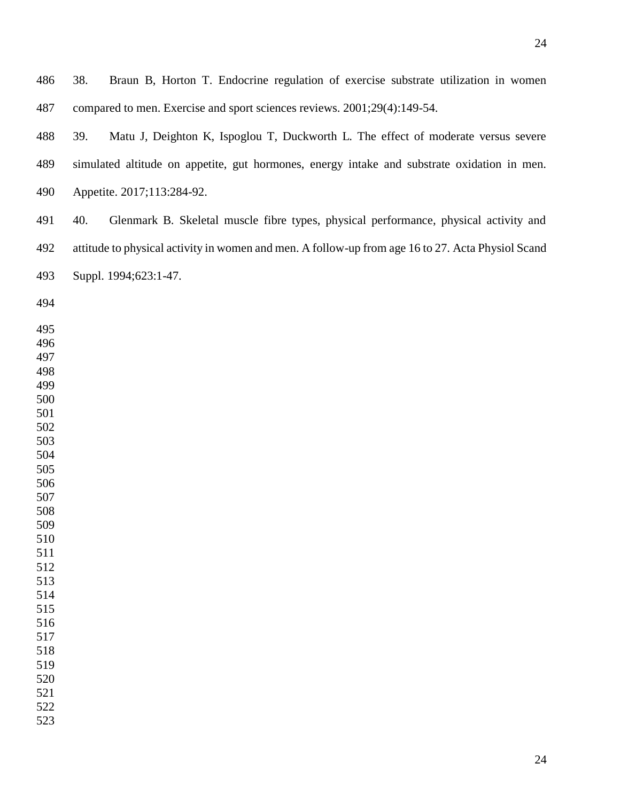<span id="page-24-2"></span><span id="page-24-1"></span><span id="page-24-0"></span> 38. Braun B, Horton T. Endocrine regulation of exercise substrate utilization in women compared to men. Exercise and sport sciences reviews. 2001;29(4):149-54. 39. Matu J, Deighton K, Ispoglou T, Duckworth L. The effect of moderate versus severe simulated altitude on appetite, gut hormones, energy intake and substrate oxidation in men. Appetite. 2017;113:284-92. 40. Glenmark B. Skeletal muscle fibre types, physical performance, physical activity and attitude to physical activity in women and men. A follow-up from age 16 to 27. Acta Physiol Scand Suppl. 1994;623:1-47.